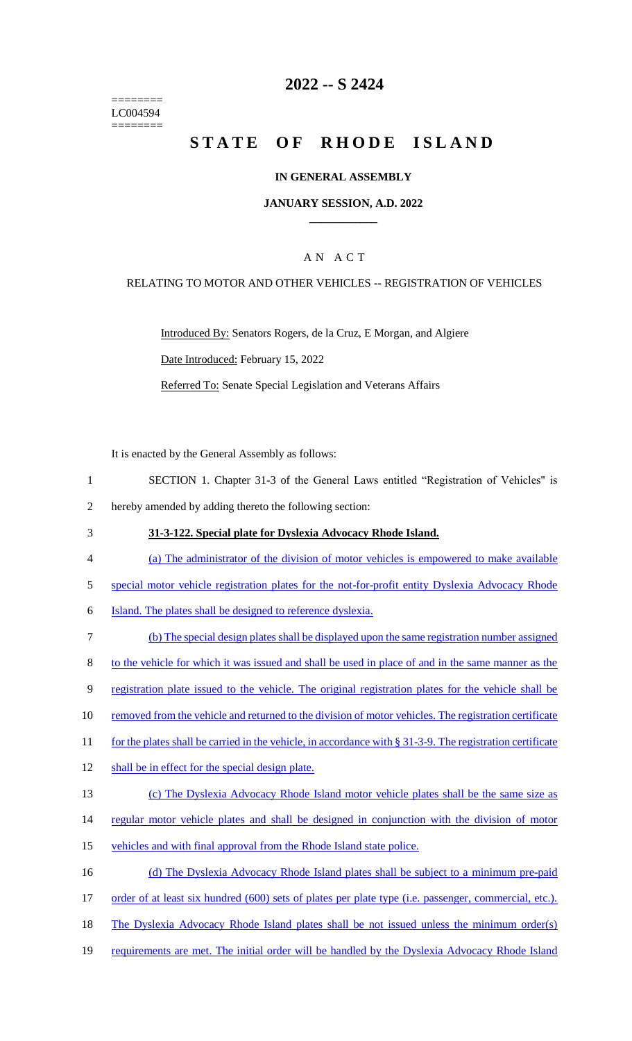======== LC004594 ========

# **2022 -- S 2424**

# **STATE OF RHODE ISLAND**

#### **IN GENERAL ASSEMBLY**

#### **JANUARY SESSION, A.D. 2022 \_\_\_\_\_\_\_\_\_\_\_\_**

### A N A C T

#### RELATING TO MOTOR AND OTHER VEHICLES -- REGISTRATION OF VEHICLES

Introduced By: Senators Rogers, de la Cruz, E Morgan, and Algiere Date Introduced: February 15, 2022 Referred To: Senate Special Legislation and Veterans Affairs

It is enacted by the General Assembly as follows:

- 1 SECTION 1. Chapter 31-3 of the General Laws entitled "Registration of Vehicles" is 2 hereby amended by adding thereto the following section:
- 
- 3 **31-3-122. Special plate for Dyslexia Advocacy Rhode Island.**
- 4 (a) The administrator of the division of motor vehicles is empowered to make available
- 5 special motor vehicle registration plates for the not-for-profit entity Dyslexia Advocacy Rhode
- 6 Island. The plates shall be designed to reference dyslexia.
- 7 (b) The special design plates shall be displayed upon the same registration number assigned 8 to the vehicle for which it was issued and shall be used in place of and in the same manner as the 9 registration plate issued to the vehicle. The original registration plates for the vehicle shall be 10 removed from the vehicle and returned to the division of motor vehicles. The registration certificate 11 for the plates shall be carried in the vehicle, in accordance with § 31-3-9. The registration certificate 12 shall be in effect for the special design plate. 13 (c) The Dyslexia Advocacy Rhode Island motor vehicle plates shall be the same size as 14 regular motor vehicle plates and shall be designed in conjunction with the division of motor 15 vehicles and with final approval from the Rhode Island state police. 16 (d) The Dyslexia Advocacy Rhode Island plates shall be subject to a minimum pre-paid 17 order of at least six hundred (600) sets of plates per plate type (i.e. passenger, commercial, etc.).
- 18 The Dyslexia Advocacy Rhode Island plates shall be not issued unless the minimum order(s)
- 19 requirements are met. The initial order will be handled by the Dyslexia Advocacy Rhode Island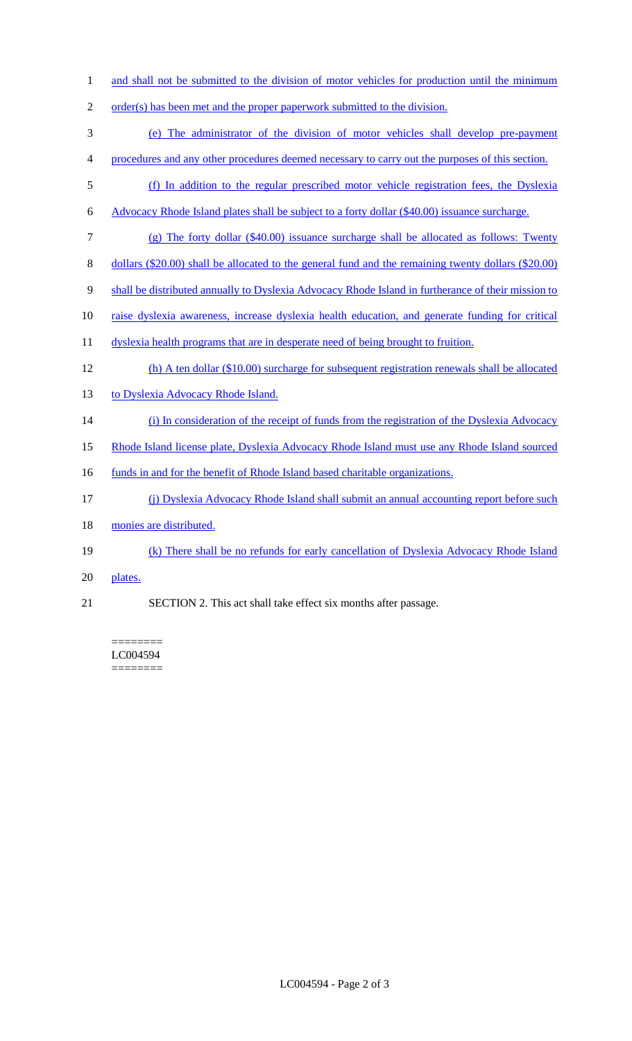- 1 and shall not be submitted to the division of motor vehicles for production until the minimum
- 2 order(s) has been met and the proper paperwork submitted to the division.
- 3 (e) The administrator of the division of motor vehicles shall develop pre-payment 4 procedures and any other procedures deemed necessary to carry out the purposes of this section.
- 
- 5 (f) In addition to the regular prescribed motor vehicle registration fees, the Dyslexia
- 6 Advocacy Rhode Island plates shall be subject to a forty dollar (\$40.00) issuance surcharge.
- 7 (g) The forty dollar (\$40.00) issuance surcharge shall be allocated as follows: Twenty
- 8 dollars (\$20.00) shall be allocated to the general fund and the remaining twenty dollars (\$20.00)
- 9 shall be distributed annually to Dyslexia Advocacy Rhode Island in furtherance of their mission to
- 10 raise dyslexia awareness, increase dyslexia health education, and generate funding for critical
- 11 dyslexia health programs that are in desperate need of being brought to fruition.
- 12 (h) A ten dollar (\$10.00) surcharge for subsequent registration renewals shall be allocated
- 13 to Dyslexia Advocacy Rhode Island.
- 14 (i) In consideration of the receipt of funds from the registration of the Dyslexia Advocacy
- 15 Rhode Island license plate, Dyslexia Advocacy Rhode Island must use any Rhode Island sourced
- 16 funds in and for the benefit of Rhode Island based charitable organizations.
- 17 (j) Dyslexia Advocacy Rhode Island shall submit an annual accounting report before such
- 18 monies are distributed.
- 19 (k) There shall be no refunds for early cancellation of Dyslexia Advocacy Rhode Island
- 20 plates.
- 21 SECTION 2. This act shall take effect six months after passage.

======== LC004594 ========